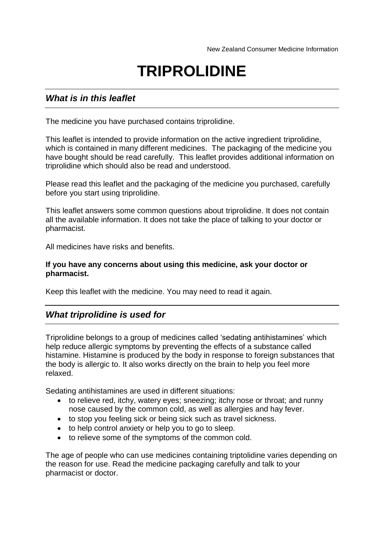# **TRIPROLIDINE**

# *What is in this leaflet*

The medicine you have purchased contains triprolidine.

This leaflet is intended to provide information on the active ingredient triprolidine, which is contained in many different medicines. The packaging of the medicine you have bought should be read carefully. This leaflet provides additional information on triprolidine which should also be read and understood.

Please read this leaflet and the packaging of the medicine you purchased, carefully before you start using triprolidine.

This leaflet answers some common questions about triprolidine. It does not contain all the available information. It does not take the place of talking to your doctor or pharmacist.

All medicines have risks and benefits.

#### **If you have any concerns about using this medicine, ask your doctor or pharmacist.**

Keep this leaflet with the medicine. You may need to read it again.

## *What triprolidine is used for*

Triprolidine belongs to a group of medicines called 'sedating antihistamines' which help reduce allergic symptoms by preventing the effects of a substance called histamine. Histamine is produced by the body in response to foreign substances that the body is allergic to. It also works directly on the brain to help you feel more relaxed.

Sedating antihistamines are used in different situations:

- to relieve red, itchy, watery eyes; sneezing; itchy nose or throat; and runny nose caused by the common cold, as well as allergies and hay fever.
- to stop you feeling sick or being sick such as travel sickness.
- to help control anxiety or help you to go to sleep.
- to relieve some of the symptoms of the common cold.

The age of people who can use medicines containing triptolidine varies depending on the reason for use. Read the medicine packaging carefully and talk to your pharmacist or doctor.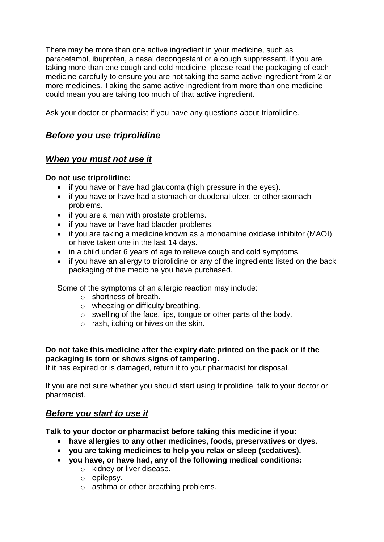There may be more than one active ingredient in your medicine, such as paracetamol, ibuprofen, a nasal decongestant or a cough suppressant. If you are taking more than one cough and cold medicine, please read the packaging of each medicine carefully to ensure you are not taking the same active ingredient from 2 or more medicines. Taking the same active ingredient from more than one medicine could mean you are taking too much of that active ingredient.

Ask your doctor or pharmacist if you have any questions about triprolidine.

# *Before you use triprolidine*

# *When you must not use it*

## **Do not use triprolidine:**

- if you have or have had glaucoma (high pressure in the eyes).
- if you have or have had a stomach or duodenal ulcer, or other stomach problems.
- if you are a man with prostate problems.
- if you have or have had bladder problems.
- if you are taking a medicine known as a monoamine oxidase inhibitor (MAOI) or have taken one in the last 14 days.
- in a child under 6 years of age to relieve cough and cold symptoms.
- if you have an allergy to triprolidine or any of the ingredients listed on the back packaging of the medicine you have purchased.

Some of the symptoms of an allergic reaction may include:

- o shortness of breath.
- o wheezing or difficulty breathing.
- o swelling of the face, lips, tongue or other parts of the body.
- $\circ$  rash, itching or hives on the skin.

## **Do not take this medicine after the expiry date printed on the pack or if the packaging is torn or shows signs of tampering.**

If it has expired or is damaged, return it to your pharmacist for disposal.

If you are not sure whether you should start using triprolidine, talk to your doctor or pharmacist.

# *Before you start to use it*

**Talk to your doctor or pharmacist before taking this medicine if you:**

- **have allergies to any other medicines, foods, preservatives or dyes.**
- **you are taking medicines to help you relax or sleep (sedatives).**
- **you have, or have had, any of the following medical conditions:**
	- o kidney or liver disease.
	- o epilepsy.
	- o asthma or other breathing problems.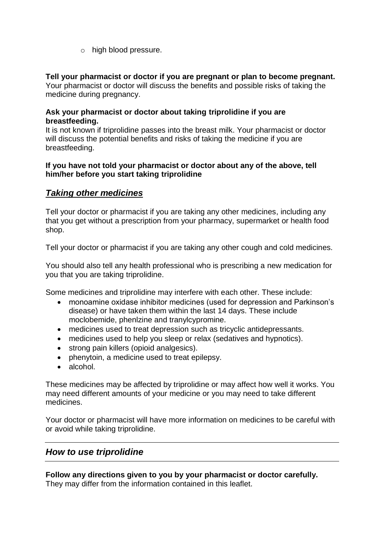o high blood pressure.

## **Tell your pharmacist or doctor if you are pregnant or plan to become pregnant.**

Your pharmacist or doctor will discuss the benefits and possible risks of taking the medicine during pregnancy.

#### **Ask your pharmacist or doctor about taking triprolidine if you are breastfeeding.**

It is not known if triprolidine passes into the breast milk. Your pharmacist or doctor will discuss the potential benefits and risks of taking the medicine if you are breastfeeding.

#### **If you have not told your pharmacist or doctor about any of the above, tell him/her before you start taking triprolidine**

# *Taking other medicines*

Tell your doctor or pharmacist if you are taking any other medicines, including any that you get without a prescription from your pharmacy, supermarket or health food shop.

Tell your doctor or pharmacist if you are taking any other cough and cold medicines.

You should also tell any health professional who is prescribing a new medication for you that you are taking triprolidine.

Some medicines and triprolidine may interfere with each other. These include:

- monoamine oxidase inhibitor medicines (used for depression and Parkinson's disease) or have taken them within the last 14 days. These include moclobemide, phenlzine and tranylcypromine.
- medicines used to treat depression such as tricyclic antidepressants.
- medicines used to help you sleep or relax (sedatives and hypnotics).
- strong pain killers (opioid analgesics).
- phenytoin, a medicine used to treat epilepsy.
- alcohol.

These medicines may be affected by triprolidine or may affect how well it works. You may need different amounts of your medicine or you may need to take different medicines.

Your doctor or pharmacist will have more information on medicines to be careful with or avoid while taking triprolidine.

# *How to use triprolidine*

**Follow any directions given to you by your pharmacist or doctor carefully.** They may differ from the information contained in this leaflet.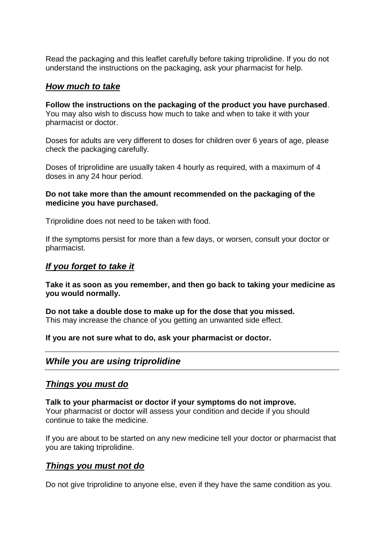Read the packaging and this leaflet carefully before taking triprolidine. If you do not understand the instructions on the packaging, ask your pharmacist for help.

## *How much to take*

**Follow the instructions on the packaging of the product you have purchased**. You may also wish to discuss how much to take and when to take it with your pharmacist or doctor.

Doses for adults are very different to doses for children over 6 years of age, please check the packaging carefully.

Doses of triprolidine are usually taken 4 hourly as required, with a maximum of 4 doses in any 24 hour period.

#### **Do not take more than the amount recommended on the packaging of the medicine you have purchased.**

Triprolidine does not need to be taken with food.

If the symptoms persist for more than a few days, or worsen, consult your doctor or pharmacist.

#### *If you forget to take it*

**Take it as soon as you remember, and then go back to taking your medicine as you would normally.**

**Do not take a double dose to make up for the dose that you missed.** This may increase the chance of you getting an unwanted side effect.

#### **If you are not sure what to do, ask your pharmacist or doctor.**

## *While you are using triprolidine*

## *Things you must do*

**Talk to your pharmacist or doctor if your symptoms do not improve.** Your pharmacist or doctor will assess your condition and decide if you should continue to take the medicine.

If you are about to be started on any new medicine tell your doctor or pharmacist that you are taking triprolidine.

## *Things you must not do*

Do not give triprolidine to anyone else, even if they have the same condition as you.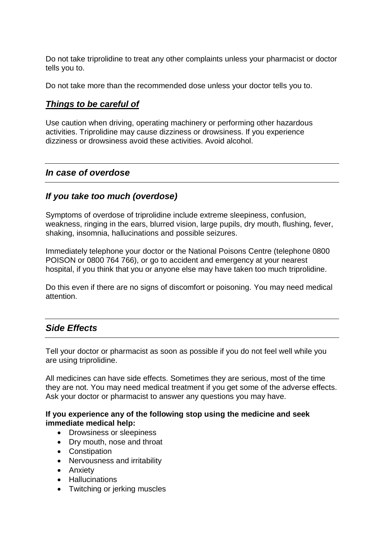Do not take triprolidine to treat any other complaints unless your pharmacist or doctor tells you to.

Do not take more than the recommended dose unless your doctor tells you to.

## *Things to be careful of*

Use caution when driving, operating machinery or performing other hazardous activities. Triprolidine may cause dizziness or drowsiness. If you experience dizziness or drowsiness avoid these activities. Avoid alcohol.

## *In case of overdose*

## *If you take too much (overdose)*

Symptoms of overdose of triprolidine include extreme sleepiness, confusion, weakness, ringing in the ears, blurred vision, large pupils, dry mouth, flushing, fever, shaking, insomnia, hallucinations and possible seizures.

Immediately telephone your doctor or the National Poisons Centre (telephone 0800 POISON or 0800 764 766), or go to accident and emergency at your nearest hospital, if you think that you or anyone else may have taken too much triprolidine.

Do this even if there are no signs of discomfort or poisoning. You may need medical attention.

# *Side Effects*

Tell your doctor or pharmacist as soon as possible if you do not feel well while you are using triprolidine.

All medicines can have side effects. Sometimes they are serious, most of the time they are not. You may need medical treatment if you get some of the adverse effects. Ask your doctor or pharmacist to answer any questions you may have.

#### **If you experience any of the following stop using the medicine and seek immediate medical help:**

- Drowsiness or sleepiness
- Dry mouth, nose and throat
- Constipation
- Nervousness and irritability
- Anxiety
- Hallucinations
- Twitching or jerking muscles